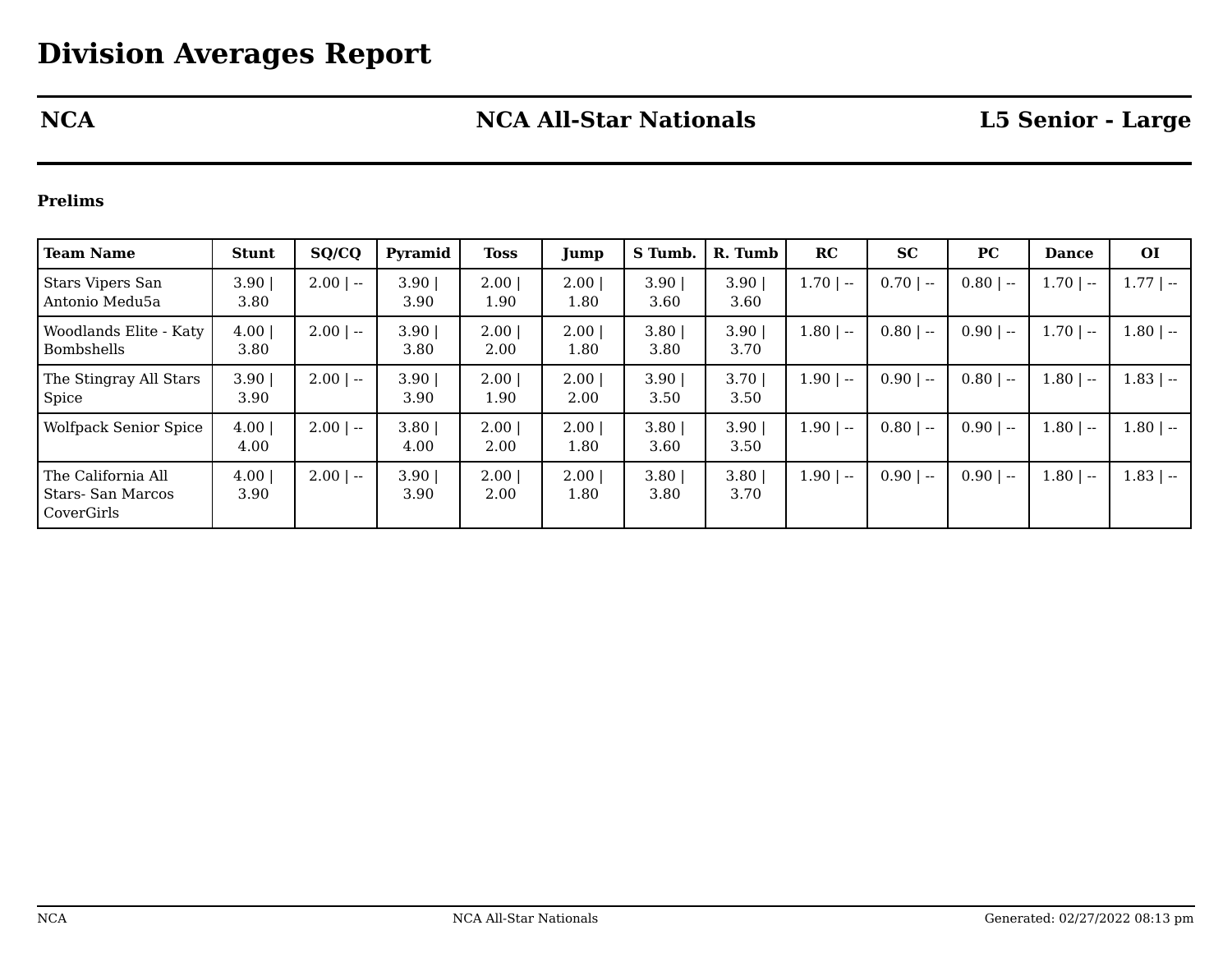# **NCA NCA All-Star Nationals L5 Senior - Large**

### **Prelims**

| <b>Team Name</b>                                      | <b>Stunt</b>  | SQ/CQ       | Pyramid      | Toss         | Jump             | S Tumb.      | R. Tumb      | RC                                                     | <b>SC</b>   | PC          | <b>Dance</b> | <b>OI</b>     |
|-------------------------------------------------------|---------------|-------------|--------------|--------------|------------------|--------------|--------------|--------------------------------------------------------|-------------|-------------|--------------|---------------|
| <b>Stars Vipers San</b><br>Antonio Medu5a             | 3.90<br>3.80  | $2.00$   -- | 3.90<br>3.90 | 2.00<br>1.90 | 2.00<br>$1.80\,$ | 3.90<br>3.60 | 3.90<br>3.60 | $1.70$   $-$                                           | $0.70$   -- | $0.80$   -- | $1.70$   $-$ | $1.77$   --   |
| Woodlands Elite - Katy<br>Bombshells                  | 4.00 <br>3.80 | $2.00$   -- | 3.90<br>3.80 | 2.00<br>2.00 | 2.00<br>1.80     | 3.80<br>3.80 | 3.90<br>3.70 | $1.80$   --                                            | $0.80$   -- | $0.90$   -- | $1.70$   --  | $-1.80$   $-$ |
| The Stingray All Stars<br>Spice                       | 3.90<br>3.90  | $2.00$   -- | 3.90<br>3.90 | 2.00<br>1.90 | 2.00<br>2.00     | 3.90<br>3.50 | 3.70<br>3.50 | 1.90<br>$\hspace{0.1mm}-\hspace{0.1mm}-\hspace{0.1mm}$ | $0.90$   -- | $0.80$   -- | $1.80$   --  | $1.83$   --   |
| <b>Wolfpack Senior Spice</b>                          | 4.00 <br>4.00 | $2.00$   -- | 3.80<br>4.00 | 2.00<br>2.00 | 2.00<br>1.80     | 3.80<br>3.60 | 3.90<br>3.50 | $1.90$   --                                            | $0.80$   -- | $0.90$   -- | $1.80$   --  | $1.80$   --   |
| The California All<br>Stars- San Marcos<br>CoverGirls | 4.00<br>3.90  | $2.00$   -- | 3.90<br>3.90 | 2.00<br>2.00 | 2.00<br>1.80     | 3.80<br>3.80 | 3.80<br>3.70 | $1.90$   --                                            | $0.90$   -- | $0.90$   -- | $1.80$   --  | $1.83$   --   |